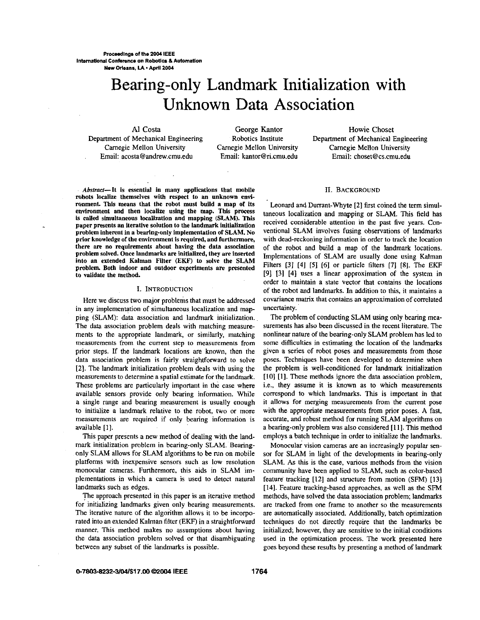# Bearing-only Landmark Initialization with Unknown Data Association

Camegie Mellon University Camegie Mellon University Camegie Mellon University Email: [acosta@andrew.cmu.edu](mailto:acosta@andrew.cmu.edu) Email: [kantor@ri.cmu.edu](mailto:kantor@ri.cmu.edu) Email: [choset@cs.cmu.edu](mailto:choset@cs.cmu.edu) 

Al Costa **George Kantor** George Kantor Howie Choset Department of Mechanical Engineering Robotics Institute Department of Mechanical Engineering

Abstract-It is essential in many applications that mobile robots localize themselves with respect to an unknown environmenL This means that the robot must build a map of its environment and then localize using the map. This process is called simultaneous localization and mapping **(SLAM)**. This paper presents an iterative solution to the landmark initialization problem inherent in a bearing-only implementation of **SLAM. No**  prior knowledge **of** the environment is required, and furthermore, there are no requirements about having the data association problem solved. Once landmarks *are* initialized, they are inserted into an extended Kalman Filter *(EKF)* to solve the SLAM problem. Both indoor and outdoor experiments are presented to validate the method.

#### I. INTRODUCTION

Here we discuss two major problems that must be addressed in any implementation of simultaneous localization and mapping (SLAM): data association and landmark initialization. The data association problem deals with matching measurements to the appropriate landmark, or similarly, matching measurements from the current step to measurements from prior steps. If the landmark locations **are** known, then the data association problem is fairly straightforward to solve 121. The landmark initialization problem deals with using the measurements to determine a spatial estimate for the landmark. These problems are particularly important in the case where available sensors provide only bearing information. While a single range and bearing measurement is usually enough to initialize a landmark relative to the robot, two or more measurements are required if only bearing information is available [I].

This paper presents a new method of dealing with the landmark initialization problem in bearing-only SLAM. Bearingonly SLAM allows for SLAM algorithms to be run on mobile platforms with inexpensive sensors such as low resolution monocular cameras. Furthermore, this aids in SLAM implementations in which a camera is used to detect natural landmarks such as edges.

The approach presented in this paper is an iterative method for initializing landmarks given only bearing measurements. The iterative nature of the algorithm allows it to be incorporated into an extended Kalrnan filter (EKF) in a straightforward manner. This method makes no assumptions about having the data association problem solved or that disambiguating between any subset of the landmarks is possible.

#### **11.** BACKGROUND

Leonard and Durrant-Whyte [2] first coined the term simultaneous localization and mapping or SLAM. This field has received considerable attention in the past five years. Conventional SLAM involves fusing observations of landmarks with dead-reckoning information in order to track the location of the robot and build a map of the landmark locations. Implementations of SLAM are usually done using Kalman Filters **[31 [4] (51** [6] or particle filters **[7]** *[8].* The EKF [91 **[31 141 uses** a linear approximation of the system in order to maintain a state vector that contains the locations of the robot and landmarks. In addition to this, it maintains a covariance matrix that contains an approximation of correlated uncertainty.

The problem of conducting SLAM using only bearing measurements has also been discussed in the recent literature. The nonlinear nature of the bearing-only SLAM problem has led to some difficulties in estimating the location of the landmarks given a series of robot poses and measurements from those poses. Techniques have been developed to determine when the problem is well-conditioned for landmark initialization **[IO]** [I]. These methods ignore the data association problem, i.e., they assume it is known as to which measurements correspond to which landmarks. This is important in that it allows for merging measurements from the current pose with the appropriate measurements from prior poses. A fast, accurate, and robust method for running SLAM algorithms on a bearing-onlyproblem was also considered **11** I]. This method employs a batch technique in order to initialize the landmarks.

Monocular vision cameras are an increasingly popular sensor for SLAM in light of the developments in bearing-only SLAM. As this is the case, various methods from the vision community have been applied to SLAM, such **as** color-based feature tracking [I21 and structure from motion **(SFM)** [I31 **[141.** Feature tracking-based approaches, as well as the SFM methods, have solved the data association problem; landmarks are tracked from one frame to another so the measurements are automatically associated. Additionally, batch optimization techniques do not directly require that the landmarks be initialized; however, they are sensitive to the initial conditions used in the optimization process. The work presented here goes beyond these results by presenting a method of landmark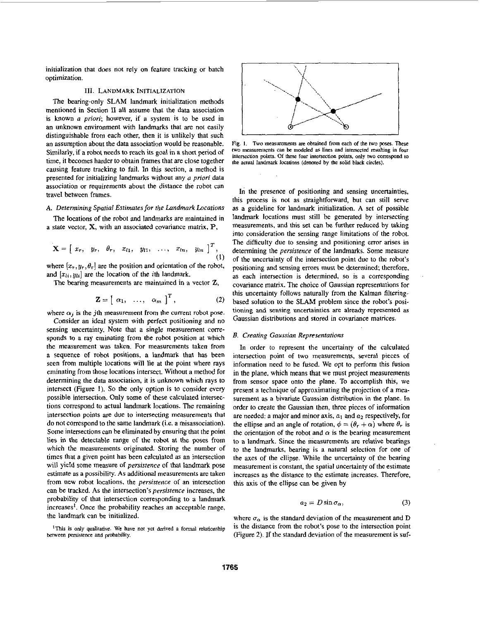initialization that does not rely on feature tracking or batch optimization.

# **111. LANDMARK INITIALIZATION**

The bearing-only **SLAM** landmark initialization methods mentioned in Section **Il** all assume that the data association is known *a pion';* however, if a system is to be used in an unknown environment with landmarks that are not easily distinguishable from each other, then it is unlikely that such an assumption about the data association would be reasonable. Similarly, if a robot needs to reach its goal in a short period of time, it becomes harder to obtain frames that are close together causing feature tracking to fail. In this section, a method is presented for initializing landmarks without any *a priori* data association or requirements about the distance the robot can travel between frames.<br>
In the presence of positioning and sensing uncertainties,

The locations of the robot and landmarks are maintained in a state vector, **X,** with an associated covariance matrix, **E',** 

$$
\mathbf{X} = [x_r, y_r, \theta_r, x_{l1}, y_{l1}, \dots, x_{ln}, y_{ln}]^T, (1)
$$

where  $[x_r, y_r, \theta_r]$  are the position and orientation of the robot, and  $[x_{li}, y_{li}]$  are the location of the *i*th landmark.

The bearing measurements are maintained in a vector Z,

$$
\mathbf{Z} = \begin{bmatrix} \alpha_1, & \dots, & \alpha_m \end{bmatrix}^T, \tag{2}
$$

where  $\alpha_i$  is the *j*th measurement from the current robot pose.

Consider an ideal system with perfect positioning and no sensing uncertainty. Note that a single measurement corresponds to a ray eminating from the robot position at which the measurement was laken. For measurements taken from a sequence of robot positions, a landmark that has been seen from multiple locations will lie at the point where rays eminating from those locations intersect. Without a method for determining the data association, it is unknown which rays to intersect (Figure **I).** So the only option is to consider every possible intersection. Only some of these calculated intersections correspond to actual landmark locations. The remaining intersection points are due to intersecting measurements that do not correspond to the same landmark (i.e. a misassociation). Some intersections can be eliminated by ensuring that the point lies in the detectable range of the robot at the poses from which the measurements originated. Storing the number of times that a given point has been calculated as an intersection will yield some measure of *persistence* of that landmark pose estimate as a possibility. **As** additional measurements are taken from new robot locations, the *persisterice of* an intersection can be tracked. **As** the intersection's *persistence* increases, the probability of that intersection corresponding to a landmark increases'. Once the probability reaches an acceptable range, the landmark can be initialized.

<sup>1</sup>This is only qualitative. We have not yet derived a formal relationship **beween perristence** and probability.



**Fig. 1.** Two measurements are obtained from each of the two poses. These **two measurements can be modeled as tines and intersected** resulting in four intersection points. *Of these* four **intenection points, only hvo comspnd** to **the actual landmark locations (denoted by the solid black circles).** 

this process is not as straightfonvard, hut can still serve **A.** *Determining Spatial Estimntesfor the Landmark Locations* as a guideline for landmark initialization. **A** set of possible landmark locations must still be generated by intersecting measurements. and this set can be further reduced by taking into consideration the sensing range limitations of the robot. The difficulty due to sensing and positioning error arises in determining the *persistence* of the landmarks. Some measure of the uncertainty of the intersection point due to the robot's positioning and sensing errors must be determined, therefore, as each intersection is determined, so is a corresponding covariance matrix. The choice of Gaussian representations for this uncertainty follows naturally from the Kalman filteringbased solution to the **SLAM** problem since the robot's positioning and sensing uncertainties **are** already represented **as**  Gaussian distributions and stored in covariance matrices.

#### *B. Creating Gaussian Representations*

In order to represent the uncertainty of the calculated intersection point of two measurements, several pieces of information need to he fused. We opt to perform this fusion in the plane, which means that we must project measurements from sensor space onto the plane. To accomplish this, we present a technique of approximating the projection of a measurement as a bivariate Gaussian distribution in the plane. In order to create the Gaussian then, three pieces of information are needed: a major and minor axis,  $a_1$  and  $a_2$  respectively, for the ellipse and an angle of rotation,  $\phi = (\theta_r + \alpha)$  where  $\theta_r$  is the orientation of the robot and  $\alpha$  is the bearing measurement to a landmark. Since the measurements are relative bearings to the landmarks, bearing is a natural selection for one of the axes of the ellipse. While the uncertainty of the bearing measurement is constant, the spatial uncertainty *of* the estimate increases as the distance to the estimate increases. Therefore, this axis of the ellipse can be given by

$$
a_2 = D\sin\sigma_\alpha,\tag{3}
$$

where  $\sigma_{\alpha}$  is the standard deviation of the measurement and D is the distance from the robot's pose to the intersection point (Figure 2). If the standard deviation of the measurement is suf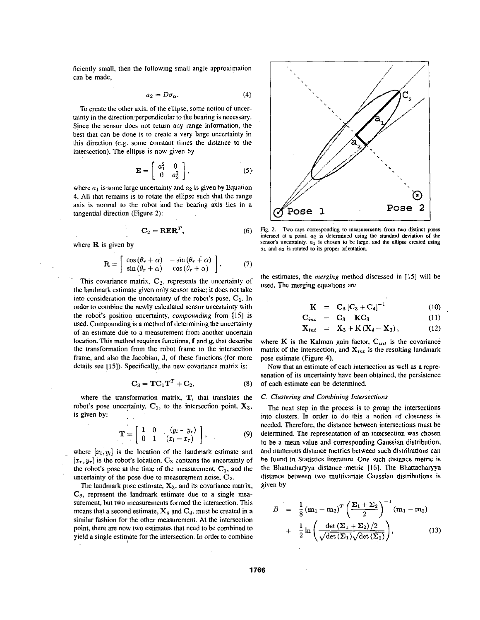ficiently small, then the following small angle approximation can be made,

$$
a_2 = D\sigma_\alpha. \tag{4}
$$

To create the other axis, of the ellipse, some notion of uncertainty in the direction perpendicular to the hearing is necessary. Since the sensor does not return any range information, the best that can be done is to create a very large uncertainty in this direction (e.g. some constant times the distance lo the intersection). The ellipse is now given by

$$
\mathbf{E} = \left[ \begin{array}{cc} a_1^2 & 0 \\ 0 & a_2^2 \end{array} \right],\tag{5}
$$

where  $a_1$  is some large uncertainty and  $a_2$  is given by Equation **4.** All that remains is to rotate the ellipse such that the range axis is normal to the robot and the bearing axis lies in a tangential direction (Figure 2):

$$
C_2 = R E R^T, \t\t(6)
$$

where **R** is given by

$$
\mathbf{R} = \begin{bmatrix} \cos(\theta_r + \alpha) & -\sin(\theta_r + \alpha) \\ \sin(\theta_r + \alpha) & \cos(\theta_r + \alpha) \end{bmatrix}.
$$
 (7)

This covariance matrix,  $C_2$ , represents the uncertainty of the landmark estimate given only sensor noise; it does not take into consideration the uncertainty of the robot's pose,  $C_1$ . In order to combine the newly calculated sensor uncertainty with the roboi's position uncertainty, *compounding* from **1151** is used. Compounding is a method of determining the uncertainty of an estimate due to a measurement from another uncertain location. This method requires functions, f and **g,** that describe the transformation from the robot frame to the intersection frame, and also the Jacobian, **J,** of these functions (for more details see **[15]).** Specifically, the new covariance matrix is:

$$
\mathbf{C}_3 = \mathbf{TC}_1 \mathbf{T}^T + \mathbf{C}_2, \tag{8}
$$

where the transformation matrix, T, that translates the robot's pose uncertainty,  $C_1$ , to the intersection point,  $X_3$ , is given by:

$$
\mathbf{T} = \left[ \begin{array}{ccc} 1 & 0 & -(y_l - y_r) \\ 0 & 1 & (x_l - x_r) \end{array} \right], \tag{9}
$$

where  $[x_i, y_i]$  is the location of the landmark estimate and  $[x_r, y_r]$  is the robot's location.  $C_3$  contains the uncertainty of the robot's pose at the time of the measurement,  $C_1$ , and the uncertainty of the pose due to measurement noise,  $C_2$ .

The landmark pose estimate,  $X_3$ , and its covariance matrix, **C3,** represent the landmark estimate due to a single measurement, but two measurements formed the intersection. This means that a second estimate,  $X_4$  and  $C_4$ , must be created in a similar fashion for the other measurement. At the intersection point, there are now two estimates that need to be combined to yield a single estimate for the intersection. In order to combine



Fig. 2. Two rays corresponding to measurements from two distinct poses **intersect at a** point. **a2 is** determined **using rhe standard deviation of the sensor's uncertainty.**  $a_1$  is chosen to be large, and the ellipse created using *<u>a<sub>1</sub>* **and**  $a_2$  **is rotated to its proper orientation.**</u>

the estimates, the *merging* method discussed in [ 151 will he used. The merging equations are

$$
K = C_3 [C_3 + C_4]^{-1}
$$
 (10)

$$
\mathbf{C}_{int} = \mathbf{C}_3 - \mathbf{K}\mathbf{C}_3 \tag{11}
$$

$$
X_{int} = X_3 + K(X_4 - X_3), \qquad (12)
$$

where  $K$  is the Kalman gain factor,  $C_{int}$  is the covariance matrix of the intersection, and  $X_{int}$  is the resulting landmark pose estimate (Figure **4).** 

Now that an estimate of each intersection as well as a represenation of its uncertainty have been obtained, the persistence of each estimate can be determined.

# *C. Clustering and Combining Intersections*

The next step in the process is to group the intersections into clusters. In order io do this a notion of closeness is needed. Therefore, the distance between intersections must be determined. The representation of an intersection was chosen to be a mean value and corresponding Gaussian distribution, and numerous distance metrics between such distributions can he found in Statistics literature. One such distance metric is the Bhattacharyya distance metric **[16].** The Bhattacharyya distance between two multivariate Gaussian distributions is given by

$$
B = \frac{1}{8} (\mathbf{m}_1 - \mathbf{m}_2)^T \left( \frac{\Sigma_1 + \Sigma_2}{2} \right)^{-1} (\mathbf{m}_1 - \mathbf{m}_2)
$$
  
+ 
$$
\frac{1}{2} \ln \left( \frac{\det (\Sigma_1 + \Sigma_2)/2}{\sqrt{\det (\Sigma_1)} \sqrt{\det (\Sigma_2)}} \right),
$$
 (13)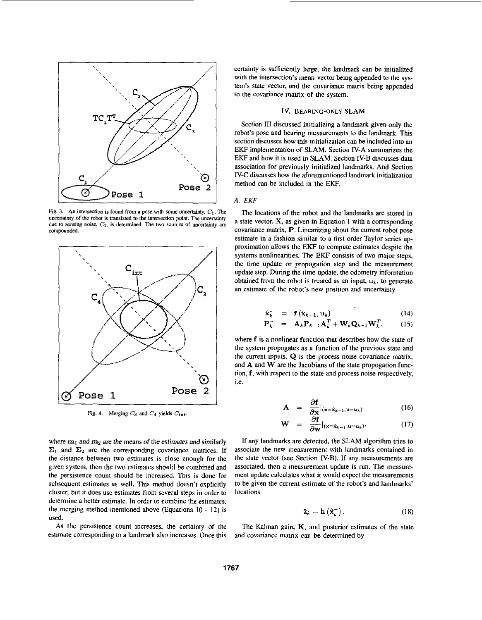

**Fig. 3.** An intersection is found from a pose with some uncertainty,  $C_1$ . The uncertainty of the robot is translated to the intersection point. The uncertainty due to sensing noise,  $C_2$ , is determined. The two sources of uncertainty are **compounded.** 



Fig. 4. Merging  $C_3$  and  $C_4$  yields  $C_{int}$ .

where  $m_1$  and  $m_2$  are the means of the estimates and similarly  $\Sigma_1$  and  $\Sigma_2$  are the corresponding covariance matrices. If the distance between two estimates is close enough for the given system, then the two estimates should he combined and the persistence count should be increased. This is done for subsequent estimates as well. This method doesn't explicitly cluster, but it does use estimates from several steps in order to determine a better estimate. In order to combine the estimates, the merging method mentioned above (Equations **IO** - 12) is used.

*As* the persistence count increases, the certainty of the estimate corresponding to a landmark also increases. Once this certainty is sufficiently large, the landmark can be initialized with the intersection's mean vector being appended to the system's state vector, and the covariance matrix being appended to the covariance matrix of the system.

# IV. **BEARING-ONLY** SLAM

Section III discussed initializing a landmark given only the robot's pose and bearing measurements to the landmark. This section discusses how this initialization can be included into an EKF implementation of SLAM. Section IV-A summarizes the EKF and how it is used in SLAM. Section **IV-B** discusses data association for previously initialized landmarks. And Section **N-C** discusses how the aforementioned landmark initialization method can be included in the EKF.

#### **A.** *EKF*

The locations of the robot and the'landmarks are stored in a state vector, X, as given in Equation I with a corresponding covariance matrix, **P.** Linearizing about the current robot pose estimate in a fashion similar to a first order Taylor series approximation allows the EKF to compute estimates despite the systems nonlinearities. The EKF consists of two major steps, the time update or propogation step and the measurement update step. During the time update, the odometry information obtained from the robot is treated as an input,  $\mathbf{u}_k$ , to generate an estimate of the robot's new position and uncertainty

$$
\hat{\mathbf{x}}_k^- = \mathbf{f}(\hat{\mathbf{x}}_{k-1}, \mathbf{u}_k) \tag{14}
$$

$$
\mathbf{P}_{k}^{-} = \mathbf{A}_{k} \mathbf{P}_{k-1} \mathbf{A}_{k}^{T} + \mathbf{W}_{k} \mathbf{Q}_{k-1} \mathbf{W}_{k}^{T}, \qquad (15)
$$

where f is a nonlinear function that describes how the state of the system propogates as a function of the previous state and the current inputs, Q is the process noise covariance matrix, and **A** and **W** are the Jacobians of the state propogation function, f, with respect to the state and process noise respectively, i.e.

$$
\mathbf{A} = \frac{\partial \mathbf{f}}{\partial \mathbf{x}}|_{(\mathbf{x} = \hat{\mathbf{x}}_{k-1}, \mathbf{u} = \mathbf{u}_k)}
$$
(16)

$$
\mathbf{W} = \frac{\partial \mathbf{f}}{\partial \mathbf{w}}|_{(\mathbf{x} = \hat{\mathbf{x}}_{k-1}, \mathbf{u} = \mathbf{u}_k)}.
$$
 (17)

If any landmarks are detected, the SLAM algorithm tries to associate the new measurement with landmarks contained in the state vector (see Section **N-B).** If any measurements are associated, then a measurement update is **run.** The measurement update calculates what it would expect the measurements to be given the current estimate of the robot's and landmarks' locations

$$
\hat{\mathbf{z}}_k = \mathbf{h}\left(\hat{\mathbf{x}}_k^-\right). \tag{18}
$$

The Kalman gain,  $K$ , and posterior estimates of the state and covariance matrix can be determined by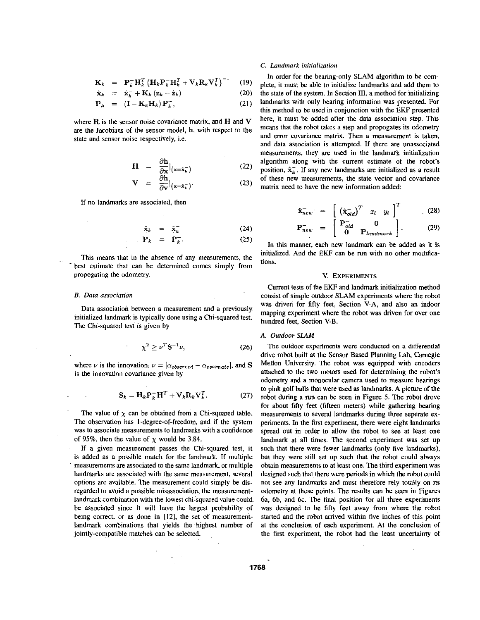$$
\mathbf{K}_k = \mathbf{P}_k^- \mathbf{H}_k^T \left( \mathbf{H}_k \mathbf{P}_k^- \mathbf{H}_k^T + \mathbf{V}_k \mathbf{R}_k \mathbf{V}_k^T \right)^{-1} \quad (19)
$$

$$
\hat{\mathbf{x}}_k = \hat{\mathbf{x}}_k^- + \mathbf{K}_k \left( \mathbf{z}_k - \hat{\mathbf{z}}_k \right) \tag{20}
$$

$$
\mathbf{P}_k = (\mathbf{I} - \mathbf{K}_k \mathbf{H}_k) \, \mathbf{P}_k^-,\tag{21}
$$

where R is the sensor noise covariance matrix, and **H** and **V**  are the Jacobians of the sensor model, h, with respect to the state and sensor noise respectively, i.e.

$$
\mathbf{H} = \frac{\partial \mathbf{h}}{\partial \mathbf{x}}|_{(\mathbf{x} = \hat{\mathbf{x}}_k^-)}
$$
(22)

$$
V = \frac{\partial h}{\partial v}\big|_{(x=\hat{x}_k^-)}.
$$
 (23)

If no landmarks are associated, then

$$
\hat{\mathbf{x}}_k = \hat{\mathbf{x}}_k^- \tag{24}
$$
\n
$$
\mathbf{P}_k = \mathbf{P}^- \tag{25}
$$

$$
\mathbf{P}_k = \mathbf{P}_k^- \tag{25}
$$

This means that in the absence of any measurements, the best estimate that can he determined comes simply from propogating the odometry.

#### *B. Data associarion*

Data association between a measurement and a previously initialized landmark is typically done using a Chi-squared test. The Chi-squared test is given by

$$
\chi^2 \geq \nu^T \mathbf{S}^{-1} \nu,\tag{26}
$$

where  $\nu$  is the innovation,  $\nu = [\alpha_{observed} - \alpha_{estimate}]$ , and **S** is the innovation covariance given by

$$
\mathbf{S}_k = \mathbf{H}_k \mathbf{P}_k^- \mathbf{H}^T + \mathbf{V}_k \mathbf{R}_k \mathbf{V}_k^T.
$$
 (27)

The value of  $\chi$  can be obtained from a Chi-squared table. The observation has 1-degree-of-freedom, and if the system was to associate measurements to landmarks with a confidence of 95%, then the value of  $\chi$  would be 3.84.

If a given measurement passes the Chi-squared test, it is added as a possible match for the landmark. If multiple measurements are associated to the same landmark, or multiple landmarks are associated with the same measurement, several options are available. The measurement could simply be disregarded to avoid a possible misassociation, the measurementlandmark combination with the lowest chi-squared value could be associated since it will have the largest probability of being correct, or as done in **1121,** the set of measurementlandmark combinations that yields the highest number of jointly-compatible matches can be selected.

## *C. Landmark inirializarion*

In order for the bearing-only SLAM algorithm to be complete, it must be able to initialize landmarks and add them to the state of the system. In Section III, a method for initializing landmarks with only bearing information was presented. For this method to be used in conjunction with the EKF presented here, it must be added after the data association step. This means that the robot takes a step and propogates its odometry and error covariance matrix. Then a measurement is taken, and data association is attempted. If there are unassociated measurements, they are used in the landmark initialization algorithm along with the current estimate of the robot's position,  $\hat{\mathbf{x}}_k$ . If any new landmarks are initialized as a result of these new measurements, the state vector and covariance matrix need to have the new information added:

$$
\hat{\mathbf{x}}_{new}^- = \begin{bmatrix} (\hat{\mathbf{x}}_{old}^-)^T & x_l & y_l \end{bmatrix}^T \tag{28}
$$

$$
\mathbf{P}_{new}^{-} = \begin{bmatrix} \mathbf{P}_{old}^{-} & \mathbf{0} \\ \mathbf{0} & \mathbf{P}_{landmark} \end{bmatrix} . \qquad (29)
$$

In this manner, each new landmark can be added as it is initialized. And the EKF can be run with no other modifications.

# V. **EXPERIMENTS**

Current tests of the EKF and landmark initialization method consist of simple outdoor SLAM experiments where the robot was driven for fifty feet, Section V-A, and also an indoor mapping experiment where the robot was driven for over one hundred feet, Section V-B.

### **A.** *Outdoor SLAM*

The outdoor experiments were conducted on a differential drive robot built at the Sensor Based Planning Lab, Camegie Mellon University. The robot was equipped with encoders attached to the two motors used for determining the robot's odometry and a monocular camera used to measure bearings to pink golf balls that were used **as** landmarks. A picture of the robot during a run can be seen in Figure 5. The robot drove for about fifty feet (fifteen meters) while gathering bearing measurements to several landmarks during three seperate experiments. In the first experiment, there were eight landmarks spread out in order to allow the robot to see at least one landmark at all times. The second experiment was set up such that there were fewer landmarks (only five landmarks), but they were still set up such that the robot could always obtain measurements to at least one. The third experiment was designed such that there were periods in which the robot could not see any landmarks and must therefore rely totally on its odometry at those points. The results can he seen in Figures 6a, 6b, and 6c. The final position for all three experiments was designed to be fifty feet away from where the robot started and the robot arrived within five inches of this point at the conclusion of each experiment. At the conclusion of the first experiment, the robot had the least uncertainty of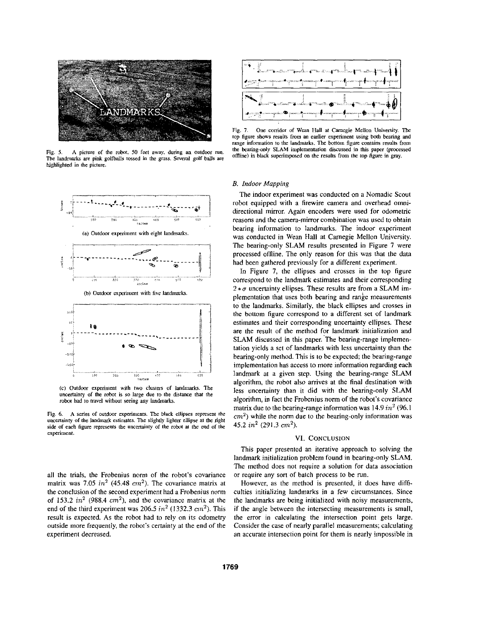

**Fig. 5. A picture of die robot, 50** feet **away.** during **an** outdoor run. The landmarks are pink golfballs tossed in the grass. Several golf balls are **highlighted in the picture.** 



**(c) Outdoor experiment with** *WO* **cluaterr of landmarks. The unceltainty of the robot** *is* **so** large **due IO the distance that the**   $\mathbf{r}$  **obot** had to travel without seeing any landmarks.

**Fig.** *6.* **A series of** outdoor **experinients.** The **black ellipses represent the**  uncertainty of the landmark estimates. The slightly lighter ellipse at the right **side of each** figure **represents the uncenainty of the robot at the** end **of the experiment.** 

all the trials, the Frobenius norm of the robot's covariance matrix was 7.05  $in^2$  (45.48  $cm^2$ ). The covariance matrix at the conclusion of the second experiment had a Frobenius norm of **153.2** *in2* **(988.4** *cm2),* and the covariance matrix at the end of the third experiment was 206.5 *in2* (1332.3 *on2).* This result is expected. As the robot had to rely on its odometry outside more frequently, the robot's certainty at the end of the experiment decreased.



Fig. 7. One corridor of Wean Hall at Carnegie Mellon University. The top figure shows results from an earlier experiment using both bearing and **range information IO** the **landniarks. The bottom figure contains results** from the **bearing-only SLAM** implementation discussed in this paper (processed ominel in **black superimpxed on the results from the tap figure in** gray.

#### *B. Indoor Mapping*

The indoor experiment was conducted on a Nomadic Scout robot equipped with a firewire camera and overhead omnidirectional mirror. Again encoders were used for odometric reasons and the camera-mirror combination was used to obtain bearing information to landmarks. The indoor experiment was conducted in Wean Hall at Camegie Mellon University. The bearing-only SLAM results presented in Figure 7 were processed offline. The only reason for this was that the data had been gathered previously for a different experiment.

In Figure 7, the ellipses and crosses in the top figure correspond to the landmark estimates and their corresponding  $2 * \sigma$  uncertainty ellipses. These results are from a SLAM implementation that uses both bearing and range measurements to the landmarks. Similarly, the black ellipses and crosses in the bottom figure correspond to a different set of landmark estimates and their corresponding uncertainty ellipses. These are the result of the method for landmark initialization and SLAM discussed in this paper. 'The bearing-range implementation yields a set of landmarks with less uncertainty than the hearing-only method. This is to he expected; the bearing-range implementation has access to more information regarding each landmark at a given step. Using the bearing-range SLAM algorithm, the robot also arrives at the final destination with less uncertainty than it did with the bearing-only SLAM algorithm, in fact the Frobenius norm of the robot's covariance matrix due to the bearing-range information was **14.9** *in?* (96.1 *cm?)* while the norm due to the bearing-only information was 45.2 *in2* **(291.3** *m2).* 

# **VI. CONCLUSION**

This paper presented an iterative approach to solving the landmark initialization problem found in bearing-only SLAM. The method does not require a solution for data association or require any son of batch process to be **run.** 

However, as the method is presented, it does have difficulties initializing landmarks in a few circumstances. Since the landmarks are being initialized with noisy measurements, if the angle between the intersecting measurements is small, the error in calculating the intersection point gets large. Consider the case of nearly parallel measurements; calculating an accurate intersection point for them is nearly impossible in